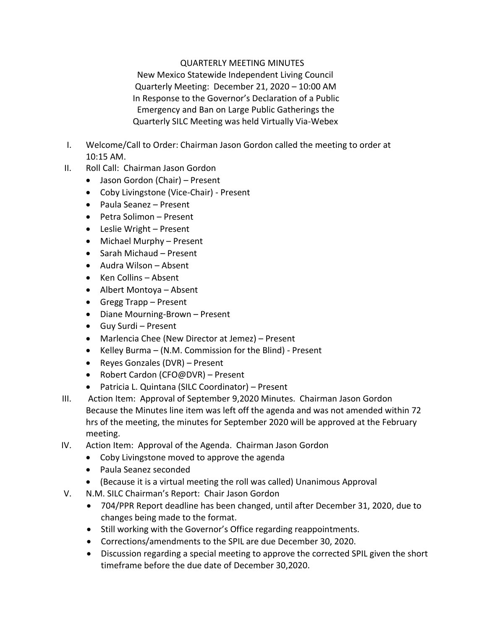## QUARTERLY MEETING MINUTES

 New Mexico Statewide Independent Living Council Quarterly Meeting: December 21, 2020 – 10:00 AM In Response to the Governor's Declaration of a Public Emergency and Ban on Large Public Gatherings the Quarterly SILC Meeting was held Virtually Via-Webex

- I. Welcome/Call to Order: Chairman Jason Gordon called the meeting to order at 10:15 AM.
- II. Roll Call: Chairman Jason Gordon
	- Jason Gordon (Chair) Present
	- Coby Livingstone (Vice-Chair) Present
	- Paula Seanez Present
	- Petra Solimon Present
	- Leslie Wright Present
	- Michael Murphy Present
	- Sarah Michaud Present
	- Audra Wilson Absent
	- Ken Collins Absent
	- Albert Montoya Absent
	- Gregg Trapp Present
	- Diane Mourning-Brown Present
	- Guy Surdi Present
	- Marlencia Chee (New Director at Jemez) Present
	- Kelley Burma (N.M. Commission for the Blind) Present
	- Reyes Gonzales (DVR) Present
	- Robert Cardon (CFO@DVR) Present
	- Patricia L. Quintana (SILC Coordinator) Present
- III. Action Item: Approval of September 9,2020 Minutes. Chairman Jason Gordon Because the Minutes line item was left off the agenda and was not amended within 72 hrs of the meeting, the minutes for September 2020 will be approved at the February meeting.
- IV. Action Item: Approval of the Agenda. Chairman Jason Gordon
	- Coby Livingstone moved to approve the agenda
	- Paula Seanez seconded
	- (Because it is a virtual meeting the roll was called) Unanimous Approval
- V. N.M. SILC Chairman's Report: Chair Jason Gordon
	- 704/PPR Report deadline has been changed, until after December 31, 2020, due to changes being made to the format.
	- Still working with the Governor's Office regarding reappointments.
	- Corrections/amendments to the SPIL are due December 30, 2020.
	- Discussion regarding a special meeting to approve the corrected SPIL given the short timeframe before the due date of December 30,2020.